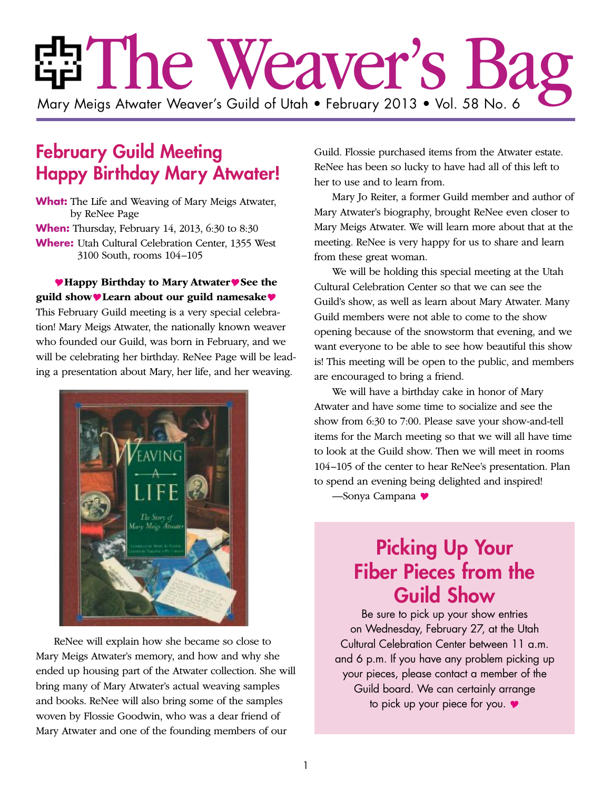# ria The Weaver's Bag Mary Meigs Atwater Weaver's Guild of Utah • February 2013 • Vol. 58 No. 6

### February Guild Meeting Happy Birthday Mary Atwater!

**What:** The Life and Weaving of Mary Meigs Atwater, by ReNee Page **When:** Thursday, February 14, 2013, 6:30 to 8:30 **Where:** Utah Cultural Celebration Center, 1355 West 3100 South, rooms 104–105

**Happy Birthday to Mary AtwaterSee the guild showLearn about our guild namesake** This February Guild meeting is a very special celebration! Mary Meigs Atwater, the nationally known weaver who founded our Guild, was born in February, and we will be celebrating her birthday. ReNee Page will be leading a presentation about Mary, her life, and her weaving.



ReNee will explain how she became so close to Mary Meigs Atwater's memory, and how and why she ended up housing part of the Atwater collection. She will bring many of Mary Atwater's actual weaving samples and books. ReNee will also bring some of the samples woven by Flossie Goodwin, who was a dear friend of Mary Atwater and one of the founding members of our

Guild. Flossie purchased items from the Atwater estate. ReNee has been so lucky to have had all of this left to her to use and to learn from.

Mary Jo Reiter, a former Guild member and author of Mary Atwater's biography, brought ReNee even closer to Mary Meigs Atwater. We will learn more about that at the meeting. ReNee is very happy for us to share and learn from these great woman.

We will be holding this special meeting at the Utah Cultural Celebration Center so that we can see the Guild's show, as well as learn about Mary Atwater. Many Guild members were not able to come to the show opening because of the snowstorm that evening, and we want everyone to be able to see how beautiful this show is! This meeting will be open to the public, and members are encouraged to bring a friend.

We will have a birthday cake in honor of Mary Atwater and have some time to socialize and see the show from 6:30 to 7:00. Please save your show-and-tell items for the March meeting so that we will all have time to look at the Guild show. Then we will meet in rooms 104–105 of the center to hear ReNee's presentation. Plan to spend an evening being delighted and inspired!

—Sonya Campana

### Picking Up Your Fiber Pieces from the Guild Show

Be sure to pick up your show entries on Wednesday, February 27, at the Utah Cultural Celebration Center between 11 a.m. and 6 p.m. If you have any problem picking up your pieces, please contact a member of the Guild board. We can certainly arrange to pick up your piece for you.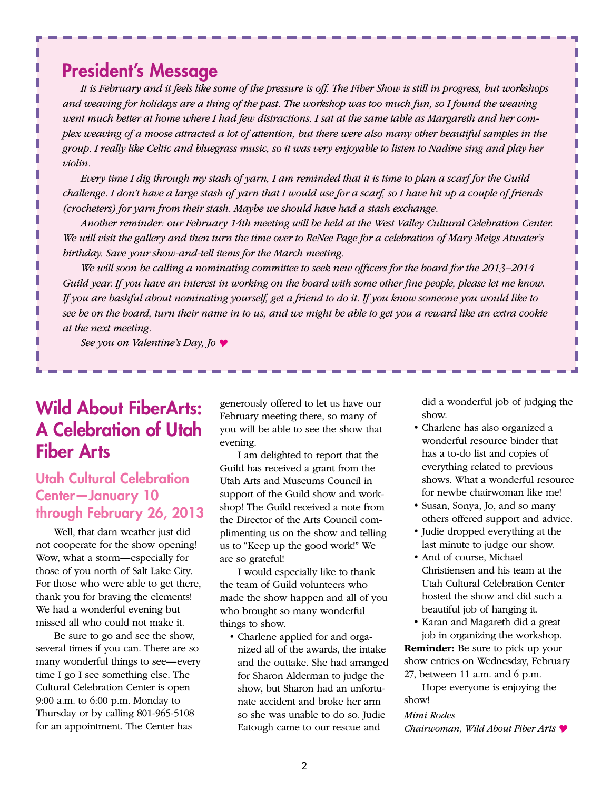### President's Message

*It is February and it feels like some of the pressure is off. The Fiber Show is still in progress, but workshops and weaving for holidays are a thing of the past. The workshop was too much fun, so I found the weaving went much better at home where I had few distractions. I sat at the same table as Margareth and her complex weaving of a moose attracted a lot of attention, but there were also many other beautiful samples in the group. I really like Celtic and bluegrass music, so it was very enjoyable to listen to Nadine sing and play her violin.*

*Every time I dig through my stash of yarn, I am reminded that it is time to plan a scarf for the Guild challenge. I don't have a large stash of yarn that I would use for a scarf, so I have hit up a couple of friends (crocheters) for yarn from their stash. Maybe we should have had a stash exchange.*

*Another reminder: our February 14th meeting will be held at the West Valley Cultural Celebration Center. We will visit the gallery and then turn the time over to ReNee Page for a celebration of Mary Meigs Atwater's birthday. Save your show-and-tell items for the March meeting.*

*We will soon be calling a nominating committee to seek new officers for the board for the 2013–2014 Guild year. If you have an interest in working on the board with some other fine people, please let me know. If you are bashful about nominating yourself, get a friend to do it. If you know someone you would like to see be on the board, turn their name in to us, and we might be able to get you a reward like an extra cookie at the next meeting.*

*See you on Valentine's Day, Jo* 

### Wild About FiberArts: A Celebration of Utah Fiber Arts

#### Utah Cultural Celebration Center—January 10 through February 26, 2013

Well, that darn weather just did not cooperate for the show opening! Wow, what a storm—especially for those of you north of Salt Lake City. For those who were able to get there, thank you for braving the elements! We had a wonderful evening but missed all who could not make it.

Be sure to go and see the show, several times if you can. There are so many wonderful things to see—every time I go I see something else. The Cultural Celebration Center is open 9:00 a.m. to 6:00 p.m. Monday to Thursday or by calling 801-965-5108 for an appointment. The Center has

generously offered to let us have our February meeting there, so many of you will be able to see the show that evening.

I am delighted to report that the Guild has received a grant from the Utah Arts and Museums Council in support of the Guild show and workshop! The Guild received a note from the Director of the Arts Council complimenting us on the show and telling us to "Keep up the good work!" We are so grateful!

I would especially like to thank the team of Guild volunteers who made the show happen and all of you who brought so many wonderful things to show.

• Charlene applied for and organized all of the awards, the intake and the outtake. She had arranged for Sharon Alderman to judge the show, but Sharon had an unfortunate accident and broke her arm so she was unable to do so. Judie Eatough came to our rescue and

did a wonderful job of judging the show.

- • Charlene has also organized a wonderful resource binder that has a to-do list and copies of everything related to previous shows. What a wonderful resource for newbe chairwoman like me!
- • Susan, Sonya, Jo, and so many others offered support and advice.
- Judie dropped everything at the last minute to judge our show.
- • And of course, Michael Christiensen and his team at the Utah Cultural Celebration Center hosted the show and did such a beautiful job of hanging it.
- Karan and Magareth did a great job in organizing the workshop.

**Reminder:** Be sure to pick up your show entries on Wednesday, February

27, between 11 a.m. and 6 p.m. Hope everyone is enjoying the show!

#### *Mimi Rodes*

*Chairwoman, Wild About Fiber Arts*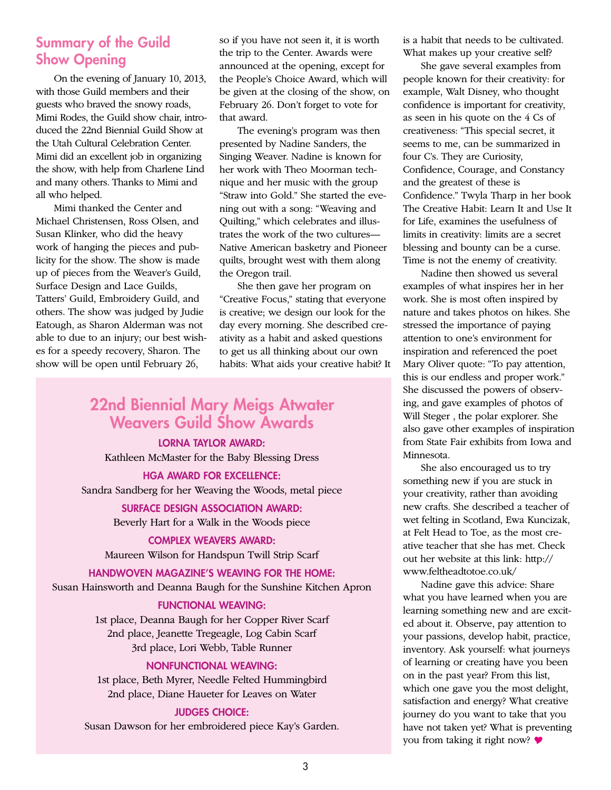#### Summary of the Guild Show Opening

On the evening of January 10, 2013, with those Guild members and their guests who braved the snowy roads, Mimi Rodes, the Guild show chair, introduced the 22nd Biennial Guild Show at the Utah Cultural Celebration Center. Mimi did an excellent job in organizing the show, with help from Charlene Lind and many others. Thanks to Mimi and all who helped.

Mimi thanked the Center and Michael Christensen, Ross Olsen, and Susan Klinker, who did the heavy work of hanging the pieces and publicity for the show. The show is made up of pieces from the Weaver's Guild, Surface Design and Lace Guilds, Tatters' Guild, Embroidery Guild, and others. The show was judged by Judie Eatough, as Sharon Alderman was not able to due to an injury; our best wishes for a speedy recovery, Sharon. The show will be open until February 26,

so if you have not seen it, it is worth the trip to the Center. Awards were announced at the opening, except for the People's Choice Award, which will be given at the closing of the show, on February 26. Don't forget to vote for that award.

The evening's program was then presented by Nadine Sanders, the Singing Weaver. Nadine is known for her work with Theo Moorman technique and her music with the group "Straw into Gold." She started the evening out with a song: "Weaving and Quilting," which celebrates and illustrates the work of the two cultures— Native American basketry and Pioneer quilts, brought west with them along the Oregon trail.

She then gave her program on "Creative Focus," stating that everyone is creative; we design our look for the day every morning. She described creativity as a habit and asked questions to get us all thinking about our own habits: What aids your creative habit? It

### 22nd Biennial Mary Meigs Atwater Weavers Guild Show Awards

LORNA TAYLOR AWARD: Kathleen McMaster for the Baby Blessing Dress

HGA AWARD FOR EXCELLENCE: Sandra Sandberg for her Weaving the Woods, metal piece

> SURFACE DESIGN ASSOCIATION AWARD: Beverly Hart for a Walk in the Woods piece

COMPLEX WEAVERS AWARD: Maureen Wilson for Handspun Twill Strip Scarf

HANDWOVEN MAGAZINE'S WEAVING FOR THE HOME: Susan Hainsworth and Deanna Baugh for the Sunshine Kitchen Apron

#### FUNCTIONAL WEAVING:

1st place, Deanna Baugh for her Copper River Scarf 2nd place, Jeanette Tregeagle, Log Cabin Scarf 3rd place, Lori Webb, Table Runner

#### NONFUNCTIONAL WEAVING:

1st place, Beth Myrer, Needle Felted Hummingbird 2nd place, Diane Haueter for Leaves on Water

#### JUDGES CHOICE:

Susan Dawson for her embroidered piece Kay's Garden.

is a habit that needs to be cultivated. What makes up your creative self?

She gave several examples from people known for their creativity: for example, Walt Disney, who thought confidence is important for creativity, as seen in his quote on the 4 Cs of creativeness: "This special secret, it seems to me, can be summarized in four C's. They are Curiosity, Confidence, Courage, and Constancy and the greatest of these is Confidence." Twyla Tharp in her book The Creative Habit: Learn It and Use It for Life, examines the usefulness of limits in creativity: limits are a secret blessing and bounty can be a curse. Time is not the enemy of creativity.

Nadine then showed us several examples of what inspires her in her work. She is most often inspired by nature and takes photos on hikes. She stressed the importance of paying attention to one's environment for inspiration and referenced the poet Mary Oliver quote: "To pay attention, this is our endless and proper work." She discussed the powers of observing, and gave examples of photos of Will Steger , the polar explorer. She also gave other examples of inspiration from State Fair exhibits from Iowa and Minnesota.

She also encouraged us to try something new if you are stuck in your creativity, rather than avoiding new crafts. She described a teacher of wet felting in Scotland, Ewa Kuncizak, at Felt Head to Toe, as the most creative teacher that she has met. Check out her website at this link: http:// www.feltheadtotoe.co.uk/

Nadine gave this advice: Share what you have learned when you are learning something new and are excited about it. Observe, pay attention to your passions, develop habit, practice, inventory. Ask yourself: what journeys of learning or creating have you been on in the past year? From this list, which one gave you the most delight, satisfaction and energy? What creative journey do you want to take that you have not taken yet? What is preventing you from taking it right now?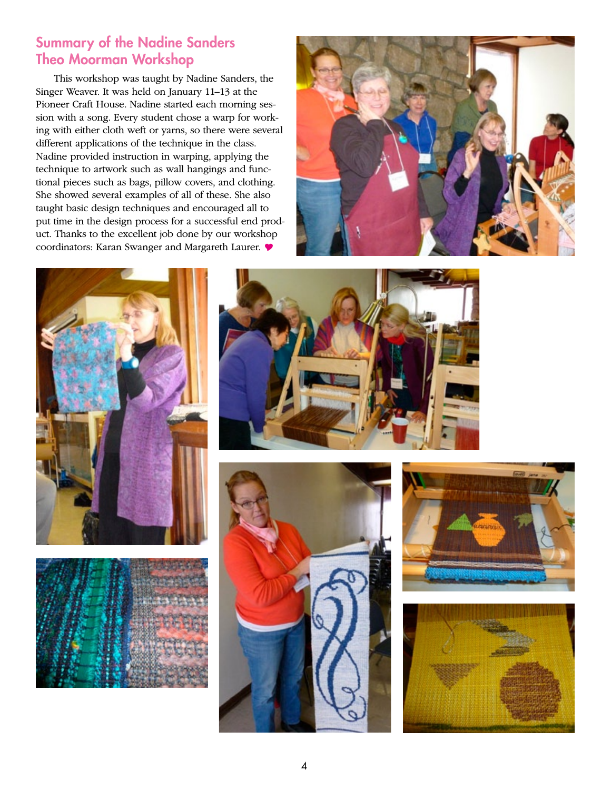#### Summary of the Nadine Sanders Theo Moorman Workshop

This workshop was taught by Nadine Sanders, the Singer Weaver. It was held on January 11–13 at the Pioneer Craft House. Nadine started each morning session with a song. Every student chose a warp for working with either cloth weft or yarns, so there were several different applications of the technique in the class. Nadine provided instruction in warping, applying the technique to artwork such as wall hangings and functional pieces such as bags, pillow covers, and clothing. She showed several examples of all of these. She also taught basic design techniques and encouraged all to put time in the design process for a successful end product. Thanks to the excellent job done by our workshop coordinators: Karan Swanger and Margareth Laurer.













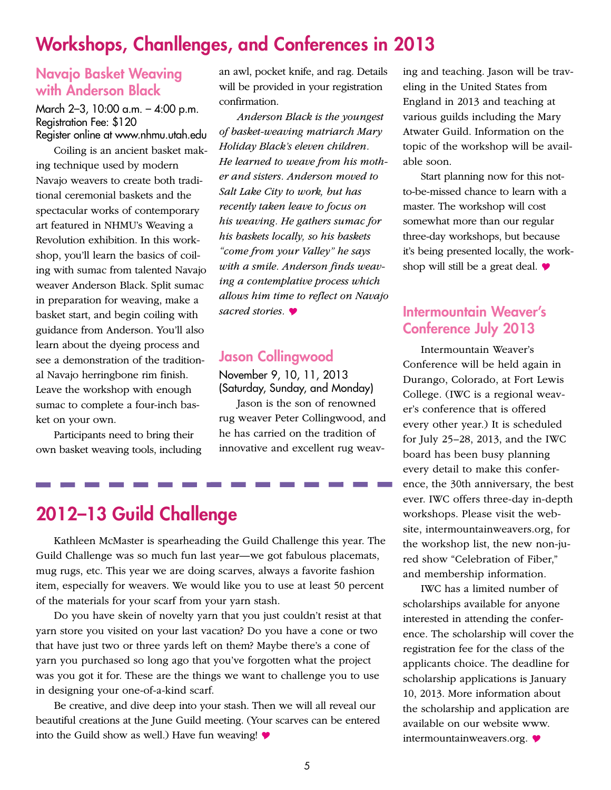### Workshops, Chanllenges, and Conferences in 2013

#### Navajo Basket Weaving with Anderson Black

March 2–3, 10:00 a.m. – 4:00 p.m. Registration Fee: \$120 Register online at www.nhmu.utah.edu

Coiling is an ancient basket making technique used by modern Navajo weavers to create both traditional ceremonial baskets and the spectacular works of contemporary art featured in NHMU's Weaving a Revolution exhibition. In this workshop, you'll learn the basics of coiling with sumac from talented Navajo weaver Anderson Black. Split sumac in preparation for weaving, make a basket start, and begin coiling with guidance from Anderson. You'll also learn about the dyeing process and see a demonstration of the traditional Navajo herringbone rim finish. Leave the workshop with enough sumac to complete a four-inch basket on your own.

Participants need to bring their own basket weaving tools, including an awl, pocket knife, and rag. Details will be provided in your registration confirmation.

*Anderson Black is the youngest of basket-weaving matriarch Mary Holiday Black's eleven children. He learned to weave from his mother and sisters. Anderson moved to Salt Lake City to work, but has recently taken leave to focus on his weaving. He gathers sumac for his baskets locally, so his baskets "come from your Valley" he says with a smile. Anderson finds weaving a contemplative process which allows him time to reflect on Navajo sacred stories.* 

#### Jason Collingwood

November 9, 10, 11, 2013 (Saturday, Sunday, and Monday)

Jason is the son of renowned rug weaver Peter Collingwood, and he has carried on the tradition of innovative and excellent rug weav-

### 2012–13 Guild Challenge

Kathleen McMaster is spearheading the Guild Challenge this year. The Guild Challenge was so much fun last year—we got fabulous placemats, mug rugs, etc. This year we are doing scarves, always a favorite fashion item, especially for weavers. We would like you to use at least 50 percent of the materials for your scarf from your yarn stash.

Do you have skein of novelty yarn that you just couldn't resist at that yarn store you visited on your last vacation? Do you have a cone or two that have just two or three yards left on them? Maybe there's a cone of yarn you purchased so long ago that you've forgotten what the project was you got it for. These are the things we want to challenge you to use in designing your one-of-a-kind scarf.

Be creative, and dive deep into your stash. Then we will all reveal our beautiful creations at the June Guild meeting. (Your scarves can be entered into the Guild show as well.) Have fun weaving!  $\blacklozenge$ 

ing and teaching. Jason will be traveling in the United States from England in 2013 and teaching at various guilds including the Mary Atwater Guild. Information on the topic of the workshop will be available soon.

Start planning now for this notto-be-missed chance to learn with a master. The workshop will cost somewhat more than our regular three-day workshops, but because it's being presented locally, the workshop will still be a great deal.  $\bullet$ 

#### Intermountain Weaver's Conference July 2013

Intermountain Weaver's Conference will be held again in Durango, Colorado, at Fort Lewis College. (IWC is a regional weaver's conference that is offered every other year.) It is scheduled for July 25–28, 2013, and the IWC board has been busy planning every detail to make this conference, the 30th anniversary, the best ever. IWC offers three-day in-depth workshops. Please visit the website, intermountainweavers.org, for the workshop list, the new non-jured show "Celebration of Fiber," and membership information.

IWC has a limited number of scholarships available for anyone interested in attending the conference. The scholarship will cover the registration fee for the class of the applicants choice. The deadline for scholarship applications is January 10, 2013. More information about the scholarship and application are available on our website www. intermountainweavers.org.